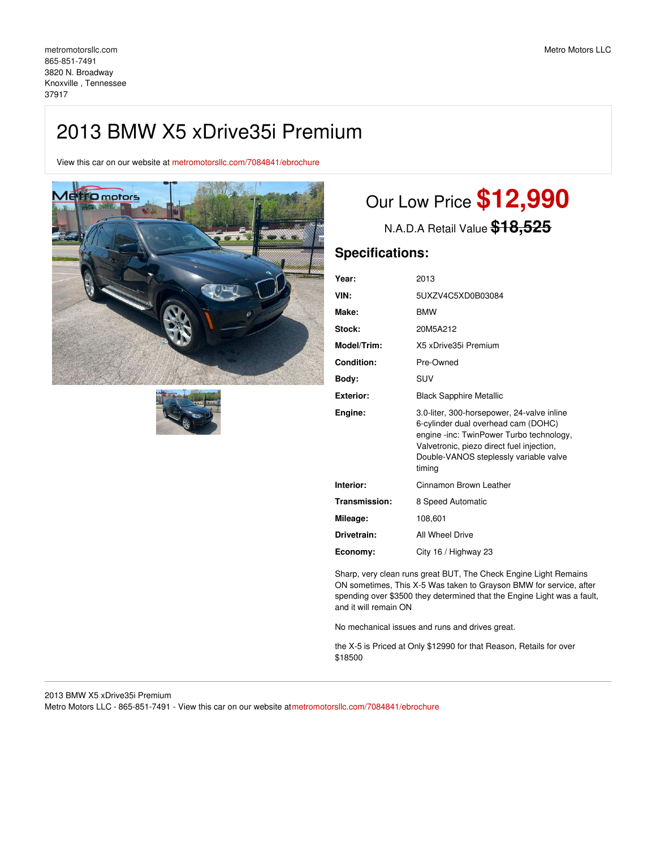# 2013 BMW X5 xDrive35i Premium

View this car on our website at [metromotorsllc.com/7084841/ebrochure](https://metromotorsllc.com/vehicle/7084841/2013-bmw-x5-xdrive35i-premium-knoxville-tennessee-37917/7084841/ebrochure)





# Our Low Price **\$12,990**

N.A.D.A Retail Value **\$18,525**

### **Specifications:**

| Year:            | 2013                                                                                                                                                                                                                           |  |
|------------------|--------------------------------------------------------------------------------------------------------------------------------------------------------------------------------------------------------------------------------|--|
| VIN:             | 5UXZV4C5XD0B03084                                                                                                                                                                                                              |  |
| Make:            | <b>BMW</b>                                                                                                                                                                                                                     |  |
| Stock:           | 20M5A212                                                                                                                                                                                                                       |  |
| Model/Trim:      | X5 xDrive35i Premium                                                                                                                                                                                                           |  |
| Condition:       | Pre-Owned                                                                                                                                                                                                                      |  |
| Body:            | <b>SUV</b>                                                                                                                                                                                                                     |  |
| <b>Exterior:</b> | <b>Black Sapphire Metallic</b>                                                                                                                                                                                                 |  |
| Engine:          | 3.0-liter, 300-horsepower, 24-valve inline<br>6-cylinder dual overhead cam (DOHC)<br>engine -inc: TwinPower Turbo technology,<br>Valvetronic, piezo direct fuel injection,<br>Double-VANOS steplessly variable valve<br>timing |  |
| Interior:        | Cinnamon Brown Leather                                                                                                                                                                                                         |  |
| Transmission:    | 8 Speed Automatic                                                                                                                                                                                                              |  |
| Mileage:         | 108,601                                                                                                                                                                                                                        |  |
| Drivetrain:      | All Wheel Drive                                                                                                                                                                                                                |  |
| Economy:         | City 16 / Highway 23                                                                                                                                                                                                           |  |

Sharp, very clean runs great BUT, The Check Engine Light Remains ON sometimes, This X-5 Was taken to Grayson BMW for service, after spending over \$3500 they determined that the Engine Light was a fault, and it will remain ON

No mechanical issues and runs and drives great.

the X-5 is Priced at Only \$12990 for that Reason, Retails for over \$18500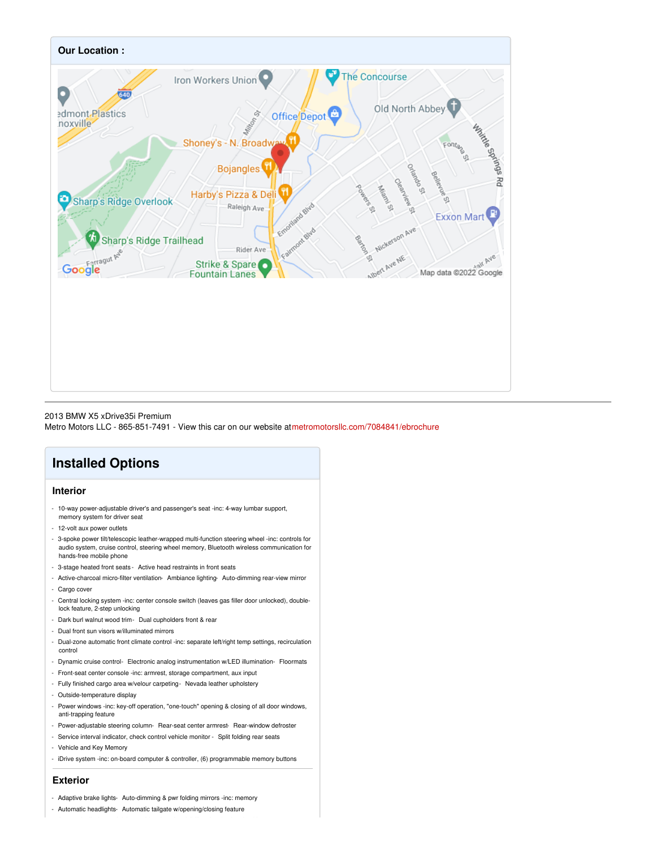

#### 2013 BMW X5 xDrive35i Premium

Metro Motors LLC - 865-851-7491 - View this car on our website at[metromotorsllc.com/7084841/ebrochure](https://metromotorsllc.com/vehicle/7084841/2013-bmw-x5-xdrive35i-premium-knoxville-tennessee-37917/7084841/ebrochure)

## **Installed Options**

#### **Interior**

- 10-way power-adjustable driver's and passenger's seat -inc: 4-way lumbar support, memory system for driver seat
- 12-volt aux power outlets
- 3-spoke power tilt/telescopic leather-wrapped multi-function steering wheel -inc: controls for audio system, cruise control, steering wheel memory, Bluetooth wireless communication for hands-free mobile phone
- 3-stage heated front seats Active head restraints in front seats
- Active-charcoal micro-filter ventilation- Ambiance lighting- Auto-dimming rear-view mirror - Cargo cover
- Central locking system -inc: center console switch (leaves gas filler door unlocked), doublelock feature, 2-step unlocking
- Dark burl walnut wood trim- Dual cupholders front & rear
- Dual front sun visors w/illuminated mirrors
- Dual-zone automatic front climate control -inc: separate left/right temp settings, recirculation control
- Dynamic cruise control- Electronic analog instrumentation w/LED illumination- Floormats
- Front-seat center console -inc: armrest, storage compartment, aux input
- Fully finished cargo area w/velour carpeting- Nevada leather upholstery
- Outside-temperature display
- Power windows -inc: key-off operation, "one-touch" opening & closing of all door windows, anti-trapping feature
- Power-adjustable steering column- Rear-seat center armrest- Rear-window defroster
- Service interval indicator, check control vehicle monitor Split folding rear seats
- Vehicle and Key Memory
- iDrive system -inc: on-board computer & controller, (6) programmable memory buttons

#### **Exterior**

- Adaptive brake lights- Auto-dimming & pwr folding mirrors -inc: memory
- Automatic headlights- Automatic tailgate w/opening/closing feature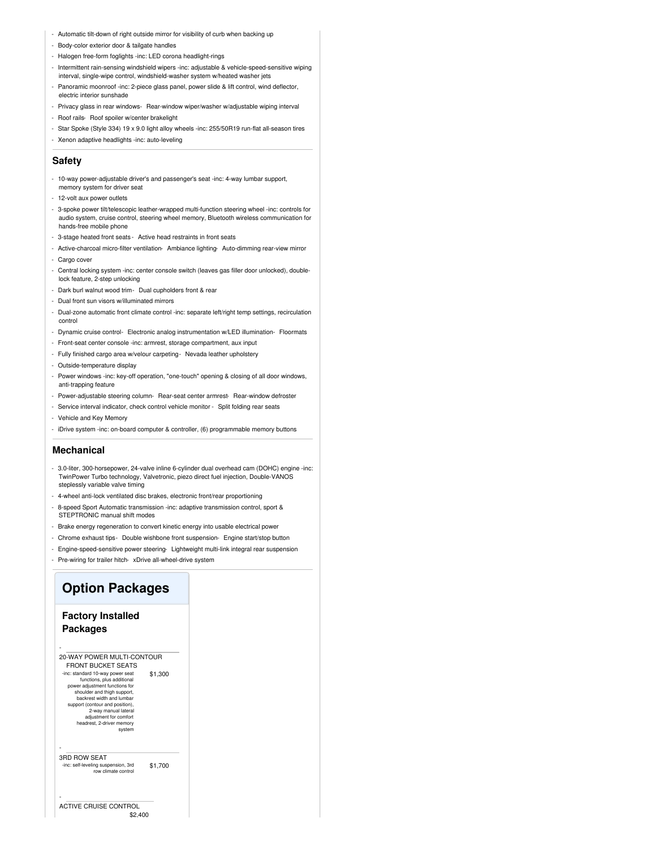- Automatic tilt-down of right outside mirror for visibility of curb when backing up
- Body-color exterior door & tailgate handles
- Halogen free-form foglights -inc: LED corona headlight-rings
- Intermittent rain-sensing windshield wipers -inc: adjustable & vehicle-speed-sensitive wiping interval, single-wipe control, windshield-washer system w/heated washer jets
- Panoramic moonroof -inc: 2-piece glass panel, power slide & lift control, wind deflector, electric interior sunshade
- Privacy glass in rear windows- Rear-window wiper/washer w/adjustable wiping interval
- Roof rails- Roof spoiler w/center brakelight
- Star Spoke (Style 334) 19 x 9.0 light alloy wheels -inc: 255/50R19 run-flat all-season tires
- Xenon adaptive headlights -inc: auto-leveling

#### **Safety**

- 10-way power-adjustable driver's and passenger's seat -inc: 4-way lumbar support, memory system for driver seat
- 12-volt aux power outlets
- 3-spoke power tilt/telescopic leather-wrapped multi-function steering wheel -inc: controls for audio system, cruise control, steering wheel memory, Bluetooth wireless communication for hands-free mobile phone
- 3-stage heated front seats Active head restraints in front seats
- Active-charcoal micro-filter ventilation- Ambiance lighting- Auto-dimming rear-view mirror - Cargo cover
- Central locking system -inc: center console switch (leaves gas filler door unlocked), doublelock feature, 2-step unlocking
- Dark burl walnut wood trim- Dual cupholders front & rear
- Dual front sun visors w/illuminated mirrors
- Dual-zone automatic front climate control -inc: separate left/right temp settings, recirculation control
- Dynamic cruise control- Electronic analog instrumentation w/LED illumination- Floormats
- Front-seat center console -inc: armrest, storage compartment, aux input
- Fully finished cargo area w/velour carpeting- Nevada leather upholstery
- Outside-temperature display
- Power windows -inc: key-off operation, "one-touch" opening & closing of all door windows, anti-trapping feature
- Power-adjustable steering column- Rear-seat center armrest- Rear-window defroster
- Service interval indicator, check control vehicle monitor Split folding rear seats
- Vehicle and Key Memory
- iDrive system -inc: on-board computer & controller, (6) programmable memory buttons

#### **Mechanical**

- 3.0-liter, 300-horsepower, 24-valve inline 6-cylinder dual overhead cam (DOHC) engine -inc: TwinPower Turbo technology, Valvetronic, piezo direct fuel injection, Double-VANOS steplessly variable valve timing
- 4-wheel anti-lock ventilated disc brakes, electronic front/rear proportioning
- 8-speed Sport Automatic transmission -inc: adaptive transmission control, sport & STEPTRONIC manual shift modes
- Brake energy regeneration to convert kinetic energy into usable electrical power
- Chrome exhaust tips- Double wishbone front suspension- Engine start/stop button
- Engine-speed-sensitive power steering- Lightweight multi-link integral rear suspension
- Pre-wiring for trailer hitch- xDrive all-wheel-drive system

### **Option Packages**

#### **Factory Installed Packages**

-

-

| 20-WAY POWER MULTI-CONTOUR<br><b>FRONT BUCKET SEATS</b>                                                                                                                                                                 |         |  |
|-------------------------------------------------------------------------------------------------------------------------------------------------------------------------------------------------------------------------|---------|--|
| -inc: standard 10-way power seat<br>functions, plus additional<br>power adjustment functions for<br>shoulder and thigh support,<br>backrest width and lumbar<br>support (contour and position),<br>2-way manual lateral | \$1,300 |  |
| adjustment for comfort<br>headrest, 2-driver memory<br>system                                                                                                                                                           |         |  |
|                                                                                                                                                                                                                         |         |  |
| 3RD ROW SEAT<br>ine: calf-lavaling cucnancion 3rd                                                                                                                                                                       | ው ዘ     |  |

\$1,700 -inc: self-leveling suspension, 3rd row climate control

#### \$2,400 ACTIVE CRUISE CONTROL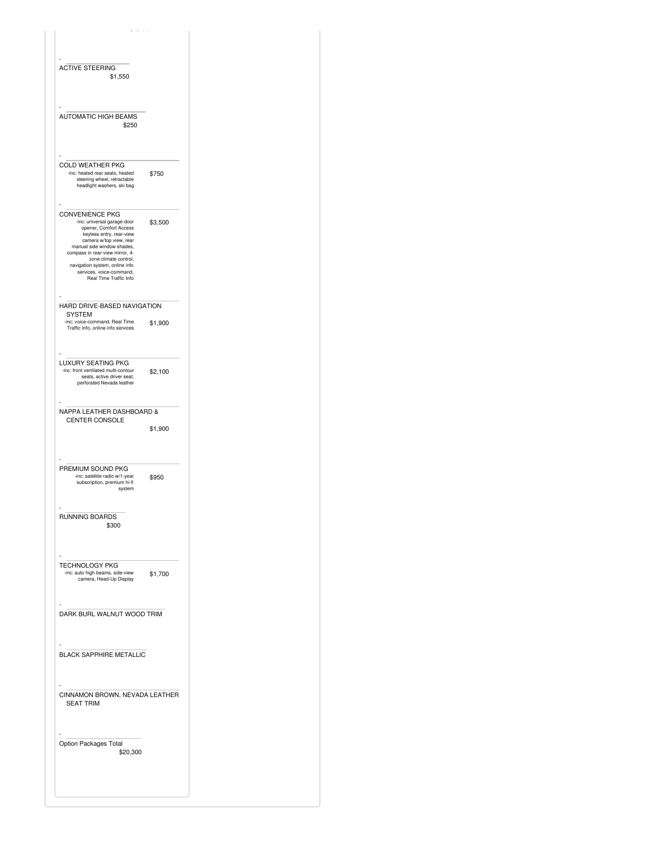| <b>ACTIVE STEERING</b><br>\$1,550                                                                                                                                                                                                                                                                                        |         |
|--------------------------------------------------------------------------------------------------------------------------------------------------------------------------------------------------------------------------------------------------------------------------------------------------------------------------|---------|
| <b>AUTOMATIC HIGH BEAMS</b><br>\$250                                                                                                                                                                                                                                                                                     |         |
| <b>COLD WEATHER PKG</b><br>-inc: heated rear seats, heated<br>steering wheel, retractable<br>headlight washers, ski bag                                                                                                                                                                                                  | \$750   |
| <b>CONVENIENCE PKG</b><br>-inc: universal garage-door<br>opener, Comfort Access<br>keyless entry, rear-view<br>camera w/top view, rear<br>manual side window shades,<br>compass in rear-view mirror, 4-<br>zone climate control,<br>navigation system, online info<br>services, voice-command,<br>Real Time Traffic Info | \$3,500 |
| HARD DRIVE-BASED NAVIGATION                                                                                                                                                                                                                                                                                              |         |
| <b>SYSTEM</b><br>-inc: voice-command, Real Time<br>Traffic Info, online info services                                                                                                                                                                                                                                    | \$1,900 |
| LUXURY SEATING PKG<br>-inc: front ventilated multi-contour<br>seats, active driver seat,<br>perforated Nevada leather                                                                                                                                                                                                    | \$2,100 |
| NAPPA LEATHER DASHBOARD &<br>CENTER CONSOLE                                                                                                                                                                                                                                                                              | \$1,900 |
| PREMIUM SOUND PKG<br>-inc: satellite radio w/1-year<br>subscription, premium hi-fi<br>system                                                                                                                                                                                                                             | \$950   |
| RUNNING BOARDS<br>\$300                                                                                                                                                                                                                                                                                                  |         |
| TECHNOLOGY PKG<br>-inc: auto high beams, side-view<br>camera, Head-Up Display                                                                                                                                                                                                                                            | \$1,700 |
| DARK BURL WALNUT WOOD TRIM                                                                                                                                                                                                                                                                                               |         |
| <b>BLACK SAPPHIRE METALLIC</b>                                                                                                                                                                                                                                                                                           |         |
| CINNAMON BROWN, NEVADA LEATHER<br><b>SEAT TRIM</b>                                                                                                                                                                                                                                                                       |         |
| Option Packages Total<br>\$20,300                                                                                                                                                                                                                                                                                        |         |
|                                                                                                                                                                                                                                                                                                                          |         |